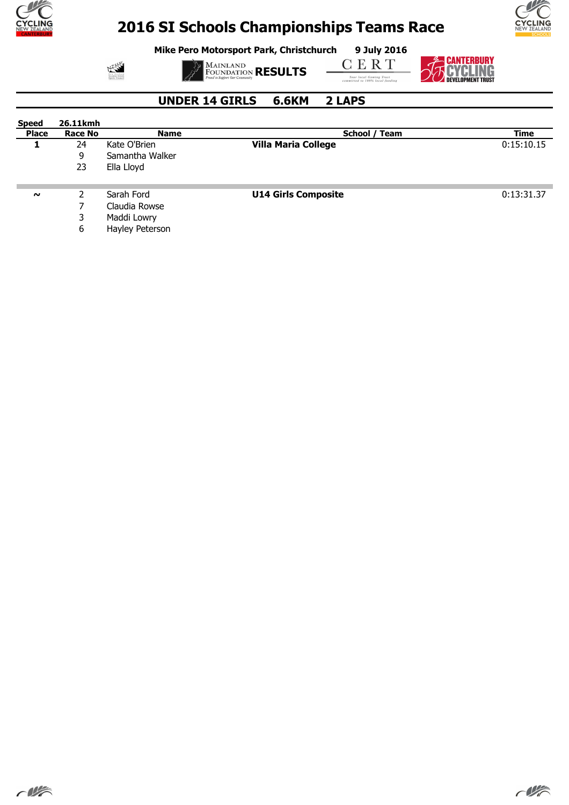

**Mike Pero Motorsport Park, Christchurch 9 July 2016**



**MAINLAND**<br>FOUNDATION **RESULTS** 

**CERT** 



**S CANTERBURY<br>THE CYCLING** 

#### **UNDER 14 GIRLS 6.6KM 2 LAPS**

| <b>Speed</b> | 26.11kmh       |                 |                            |            |
|--------------|----------------|-----------------|----------------------------|------------|
| <b>Place</b> | <b>Race No</b> | <b>Name</b>     | School / Team              | Time       |
|              | 24             | Kate O'Brien    | <b>Villa Maria College</b> | 0:15:10.15 |
|              | 9              | Samantha Walker |                            |            |
|              | 23             | Ella Lloyd      |                            |            |
| $\sim$       |                | Sarah Ford      | <b>U14 Girls Composite</b> | 0:13:31.37 |
|              |                | Claudia Rowse   |                            |            |
|              |                | Maddi Lowry     |                            |            |

6 Hayley Peterson



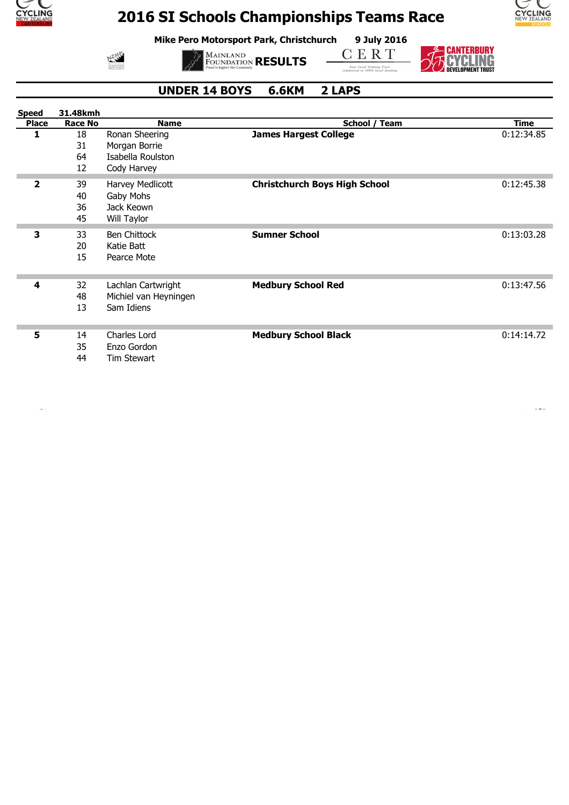

 $M$ <sup>555</sup>

# **2016 SI Schools Championships Teams Race**

**Mike Pero Motorsport Park, Christchurch 9 July 2016**



**MAINLAND**<br>FOUNDATION **RESULTS** 

CERT



#### **UNDER 14 BOYS 6.6KM 2 LAPS**

| <b>Speed</b> | 31.48kmh       |                       |                                      |             |
|--------------|----------------|-----------------------|--------------------------------------|-------------|
| <b>Place</b> | <b>Race No</b> | <b>Name</b>           | School / Team                        | <b>Time</b> |
| 1            | 18             | Ronan Sheering        | <b>James Hargest College</b>         | 0:12:34.85  |
|              | 31             | Morgan Borrie         |                                      |             |
|              | 64             | Isabella Roulston     |                                      |             |
|              | 12             | Cody Harvey           |                                      |             |
| $\mathbf{2}$ | 39             | Harvey Medlicott      | <b>Christchurch Boys High School</b> | 0:12:45.38  |
|              | 40             | Gaby Mohs             |                                      |             |
|              | 36             | Jack Keown            |                                      |             |
|              | 45             | Will Taylor           |                                      |             |
| 3            | 33             | <b>Ben Chittock</b>   | <b>Sumner School</b>                 | 0:13:03.28  |
|              | 20             | Katie Batt            |                                      |             |
|              | 15             | Pearce Mote           |                                      |             |
|              |                |                       |                                      |             |
| 4            | 32             | Lachlan Cartwright    | <b>Medbury School Red</b>            | 0:13:47.56  |
|              | 48             | Michiel van Heyningen |                                      |             |
|              | 13             | Sam Idiens            |                                      |             |
|              |                |                       |                                      |             |
| 5            | 14             | Charles Lord          | <b>Medbury School Black</b>          | 0:14:14.72  |
|              | 35             | Enzo Gordon           |                                      |             |
|              | 44             | <b>Tim Stewart</b>    |                                      |             |
|              |                |                       |                                      |             |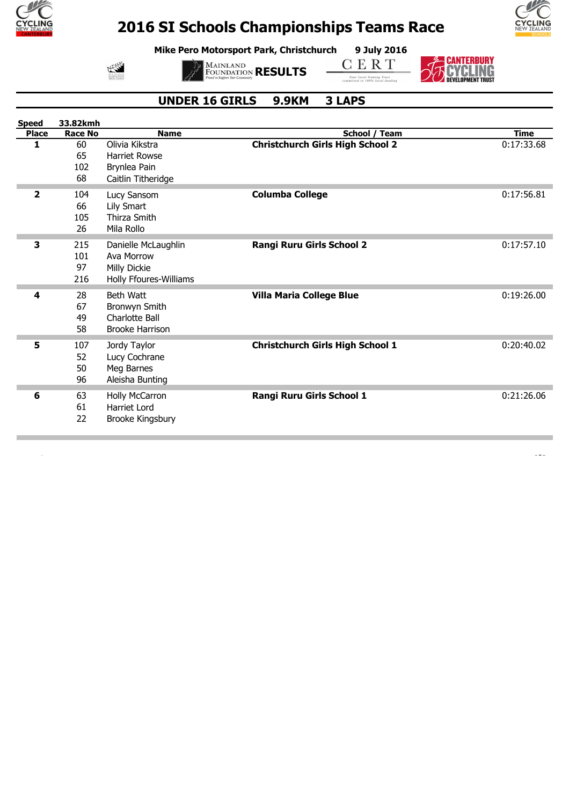

**Mike Pero Motorsport Park, Christchurch 9 July 2016**



**MAINLAND**<br>FOUNDATION **RESULTS** 

**CERT** 



**EXAMPLE SERVEY**<br>
THE CONTRESS OF SEVEL IN C

 $\overline{\phantom{a}}$ 

#### **UNDER 16 GIRLS 9.9KM 3 LAPS**

| <b>Speed</b> | 33.82kmh       |                        |                                         |             |
|--------------|----------------|------------------------|-----------------------------------------|-------------|
| <b>Place</b> | <b>Race No</b> | <b>Name</b>            | School / Team                           | <b>Time</b> |
| 1            | 60             | Olivia Kikstra         | <b>Christchurch Girls High School 2</b> | 0:17:33.68  |
|              | 65             | <b>Harriet Rowse</b>   |                                         |             |
|              | 102            | Brynlea Pain           |                                         |             |
|              | 68             | Caitlin Titheridge     |                                         |             |
| 2            | 104            | Lucy Sansom            | <b>Columba College</b>                  | 0:17:56.81  |
|              | 66             | Lily Smart             |                                         |             |
|              | 105            | Thirza Smith           |                                         |             |
|              | 26             | Mila Rollo             |                                         |             |
| з            | 215            | Danielle McLaughlin    | Rangi Ruru Girls School 2               | 0:17:57.10  |
|              | 101            | Ava Morrow             |                                         |             |
|              | 97             | Milly Dickie           |                                         |             |
|              | 216            | Holly Ffoures-Williams |                                         |             |
|              |                |                        |                                         |             |
| 4            | 28             | <b>Beth Watt</b>       | <b>Villa Maria College Blue</b>         | 0:19:26.00  |
|              | 67             | Bronwyn Smith          |                                         |             |
|              | 49             | <b>Charlotte Ball</b>  |                                         |             |
|              | 58             | <b>Brooke Harrison</b> |                                         |             |
| 5            | 107            | Jordy Taylor           | <b>Christchurch Girls High School 1</b> | 0:20:40.02  |
|              | 52             | Lucy Cochrane          |                                         |             |
|              | 50             | Meg Barnes             |                                         |             |
|              | 96             | Aleisha Bunting        |                                         |             |
|              |                |                        |                                         |             |
| 6            | 63             | Holly McCarron         | Rangi Ruru Girls School 1               | 0:21:26.06  |
|              | 61             | Harriet Lord           |                                         |             |
|              | 22             | Brooke Kingsbury       |                                         |             |
|              |                |                        |                                         |             |

 $\overline{\phantom{a}}$ 

 $\mathbf{A}$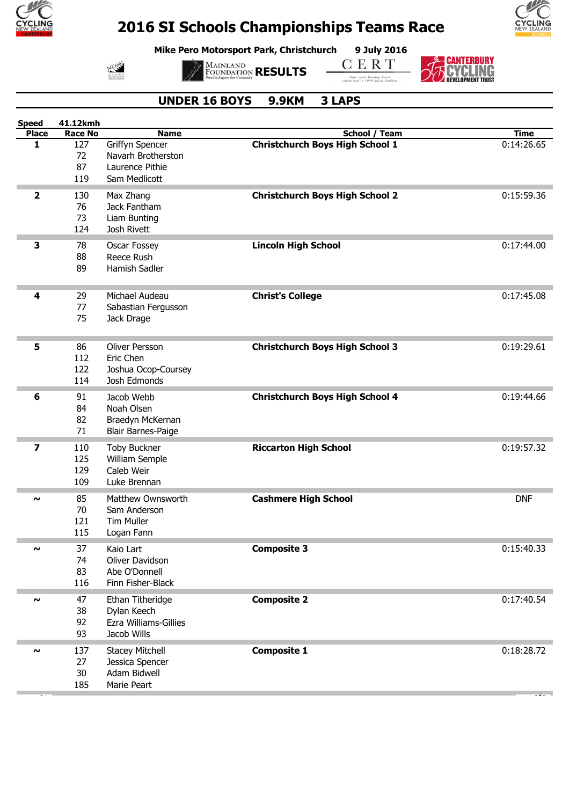

**Mike Pero Motorsport Park, Christchurch 9 July 2016**



**MAINLAND**<br>FOUNDATION **RESULTS** 

**CERT** 

**Four local Gaming Trust**<br>committed to 100% local funding



**E-CANTERBURY<br>TO CYCLING**<br>DEVELOPMENT TRUST

 $\overline{\phantom{a}}$ 

#### **UNDER 16 BOYS 9.9KM 3 LAPS**

| <b>Speed</b>        | 41.12kmh       |                           |                                        |             |
|---------------------|----------------|---------------------------|----------------------------------------|-------------|
| <b>Place</b>        | <b>Race No</b> | <b>Name</b>               | School / Team                          | <b>Time</b> |
| 1                   | 127            | Griffyn Spencer           | <b>Christchurch Boys High School 1</b> | 0:14:26.65  |
|                     | 72             | Navarh Brotherston        |                                        |             |
|                     | 87             | Laurence Pithie           |                                        |             |
|                     | 119            | Sam Medlicott             |                                        |             |
|                     |                |                           |                                        |             |
| 2                   | 130            | Max Zhang                 | <b>Christchurch Boys High School 2</b> | 0:15:59.36  |
|                     | 76             | Jack Fantham              |                                        |             |
|                     | 73             | Liam Bunting              |                                        |             |
|                     | 124            | Josh Rivett               |                                        |             |
|                     |                |                           |                                        |             |
| 3                   | 78             | Oscar Fossey              | <b>Lincoln High School</b>             | 0:17:44.00  |
|                     | 88             | Reece Rush                |                                        |             |
|                     | 89             | Hamish Sadler             |                                        |             |
|                     |                |                           |                                        |             |
| 4                   | 29             | Michael Audeau            |                                        | 0:17:45.08  |
|                     |                |                           | <b>Christ's College</b>                |             |
|                     | 77             | Sabastian Fergusson       |                                        |             |
|                     | 75             | Jack Drage                |                                        |             |
|                     |                |                           |                                        |             |
| 5                   | 86             | Oliver Persson            | <b>Christchurch Boys High School 3</b> | 0:19:29.61  |
|                     | 112            | Eric Chen                 |                                        |             |
|                     | 122            |                           |                                        |             |
|                     |                | Joshua Ocop-Coursey       |                                        |             |
|                     | 114            | Josh Edmonds              |                                        |             |
| 6                   | 91             | Jacob Webb                | <b>Christchurch Boys High School 4</b> | 0:19:44.66  |
|                     | 84             | Noah Olsen                |                                        |             |
|                     | 82             | Braedyn McKernan          |                                        |             |
|                     |                |                           |                                        |             |
|                     | 71             | <b>Blair Barnes-Paige</b> |                                        |             |
| 7                   | 110            | <b>Toby Buckner</b>       | <b>Riccarton High School</b>           | 0:19:57.32  |
|                     | 125            | William Semple            |                                        |             |
|                     | 129            | Caleb Weir                |                                        |             |
|                     | 109            | Luke Brennan              |                                        |             |
|                     |                |                           |                                        |             |
| $\sim$              | 85             | Matthew Ownsworth         | <b>Cashmere High School</b>            | <b>DNF</b>  |
|                     | 70             | Sam Anderson              |                                        |             |
|                     | 121            | Tim Muller                |                                        |             |
|                     | 115            | Logan Fann                |                                        |             |
|                     |                |                           |                                        |             |
|                     | 37             | Kaio Lart                 | <b>Composite 3</b>                     | 0:15:40.33  |
|                     | 74             | Oliver Davidson           |                                        |             |
|                     | 83             | Abe O'Donnell             |                                        |             |
|                     | 116            | Finn Fisher-Black         |                                        |             |
|                     |                |                           |                                        | 0:17:40.54  |
| $\boldsymbol{\sim}$ | 47             | Ethan Titheridge          | <b>Composite 2</b>                     |             |
|                     | 38             | Dylan Keech               |                                        |             |
|                     | 92             | Ezra Williams-Gillies     |                                        |             |
|                     | 93             | Jacob Wills               |                                        |             |
| $\sim$              | 137            | <b>Stacey Mitchell</b>    | <b>Composite 1</b>                     | 0:18:28.72  |
|                     |                |                           |                                        |             |
|                     | 27             | Jessica Spencer           |                                        |             |
|                     | 30             | Adam Bidwell              |                                        |             |
|                     | 185            | Marie Peart               |                                        |             |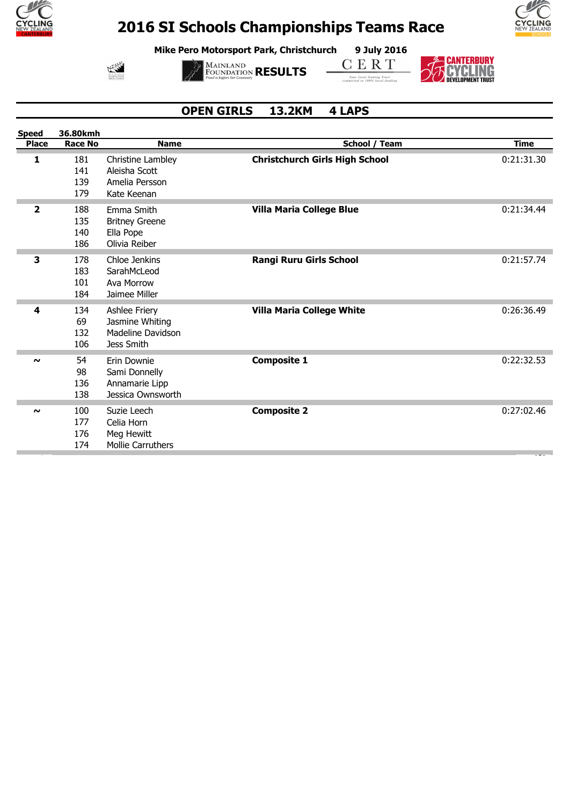

**Mike Pero Motorsport Park, Christchurch 9 July 2016**

水路



**CERT** 



 $\epsilon$ 



#### **OPEN GIRLS 13.2KM 4 LAPS**

| <b>Speed</b> | 36.80kmh                 |                                                                            |                                       |             |
|--------------|--------------------------|----------------------------------------------------------------------------|---------------------------------------|-------------|
| <b>Place</b> | <b>Race No</b>           | <b>Name</b>                                                                | School / Team                         | <b>Time</b> |
| 1            | 181<br>141<br>139<br>179 | Christine Lambley<br>Aleisha Scott<br>Amelia Persson<br>Kate Keenan        | <b>Christchurch Girls High School</b> | 0:21:31.30  |
| $\mathbf{2}$ | 188<br>135<br>140<br>186 | Emma Smith<br><b>Britney Greene</b><br>Ella Pope<br>Olivia Reiber          | Villa Maria College Blue              | 0:21:34.44  |
| 3            | 178<br>183<br>101<br>184 | Chloe Jenkins<br>SarahMcLeod<br>Ava Morrow<br>Jaimee Miller                | <b>Rangi Ruru Girls School</b>        | 0:21:57.74  |
| 4            | 134<br>69<br>132<br>106  | Ashlee Friery<br>Jasmine Whiting<br><b>Madeline Davidson</b><br>Jess Smith | <b>Villa Maria College White</b>      | 0:26:36.49  |
| $\sim$       | 54<br>98<br>136<br>138   | Erin Downie<br>Sami Donnelly<br>Annamarie Lipp<br>Jessica Ownsworth        | <b>Composite 1</b>                    | 0:22:32.53  |
| $\sim$       | 100<br>177<br>176<br>174 | Suzie Leech<br>Celia Horn<br>Meg Hewitt<br><b>Mollie Carruthers</b>        | <b>Composite 2</b>                    | 0:27:02.46  |